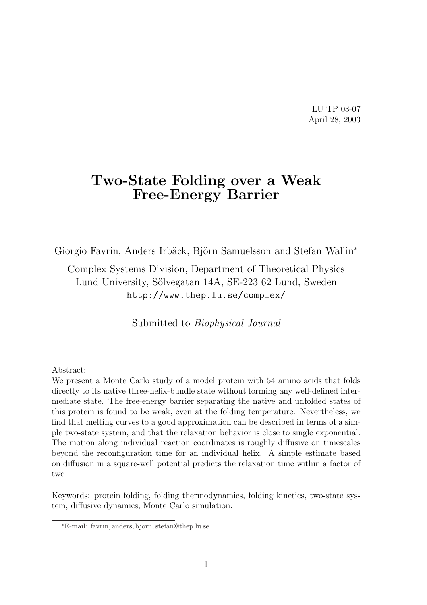LU TP 03-07 April 28, 2003

# Two-State Folding over a Weak Free-Energy Barrier

Giorgio Favrin, Anders Irbäck, Björn Samuelsson and Stefan Wallin<sup>\*</sup>

Complex Systems Division, Department of Theoretical Physics Lund University, Sölvegatan 14A, SE-223 62 Lund, Sweden http://www.thep.lu.se/complex/

Submitted to Biophysical Journal

#### Abstract:

We present a Monte Carlo study of a model protein with 54 amino acids that folds directly to its native three-helix-bundle state without forming any well-defined intermediate state. The free-energy barrier separating the native and unfolded states of this protein is found to be weak, even at the folding temperature. Nevertheless, we find that melting curves to a good approximation can be described in terms of a simple two-state system, and that the relaxation behavior is close to single exponential. The motion along individual reaction coordinates is roughly diffusive on timescales beyond the reconfiguration time for an individual helix. A simple estimate based on diffusion in a square-well potential predicts the relaxation time within a factor of two.

Keywords: protein folding, folding thermodynamics, folding kinetics, two-state system, diffusive dynamics, Monte Carlo simulation.

<sup>∗</sup>E-mail: favrin, anders, bjorn, stefan@thep.lu.se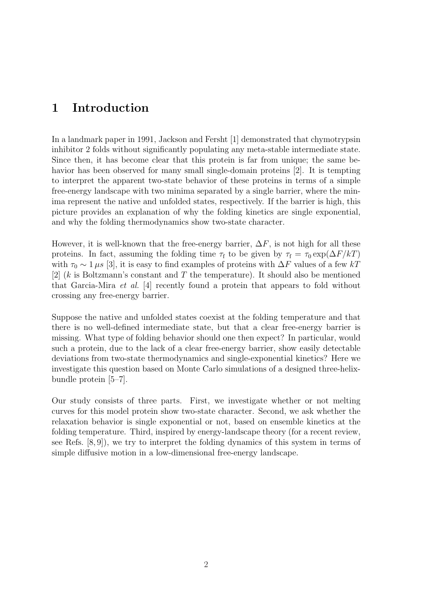### 1 Introduction

In a landmark paper in 1991, Jackson and Fersht [1] demonstrated that chymotrypsin inhibitor 2 folds without significantly populating any meta-stable intermediate state. Since then, it has become clear that this protein is far from unique; the same behavior has been observed for many small single-domain proteins [2]. It is tempting to interpret the apparent two-state behavior of these proteins in terms of a simple free-energy landscape with two minima separated by a single barrier, where the minima represent the native and unfolded states, respectively. If the barrier is high, this picture provides an explanation of why the folding kinetics are single exponential, and why the folding thermodynamics show two-state character.

However, it is well-known that the free-energy barrier,  $\Delta F$ , is not high for all these proteins. In fact, assuming the folding time  $\tau_f$  to be given by  $\tau_f = \tau_0 \exp(\Delta F/kT)$ with  $\tau_0 \sim 1 \,\mu s$  [3], it is easy to find examples of proteins with  $\Delta F$  values of a few kT [2]  $(k$  is Boltzmann's constant and T the temperature). It should also be mentioned that Garcia-Mira et al. [4] recently found a protein that appears to fold without crossing any free-energy barrier.

Suppose the native and unfolded states coexist at the folding temperature and that there is no well-defined intermediate state, but that a clear free-energy barrier is missing. What type of folding behavior should one then expect? In particular, would such a protein, due to the lack of a clear free-energy barrier, show easily detectable deviations from two-state thermodynamics and single-exponential kinetics? Here we investigate this question based on Monte Carlo simulations of a designed three-helixbundle protein [5–7].

Our study consists of three parts. First, we investigate whether or not melting curves for this model protein show two-state character. Second, we ask whether the relaxation behavior is single exponential or not, based on ensemble kinetics at the folding temperature. Third, inspired by energy-landscape theory (for a recent review, see Refs. [8, 9]), we try to interpret the folding dynamics of this system in terms of simple diffusive motion in a low-dimensional free-energy landscape.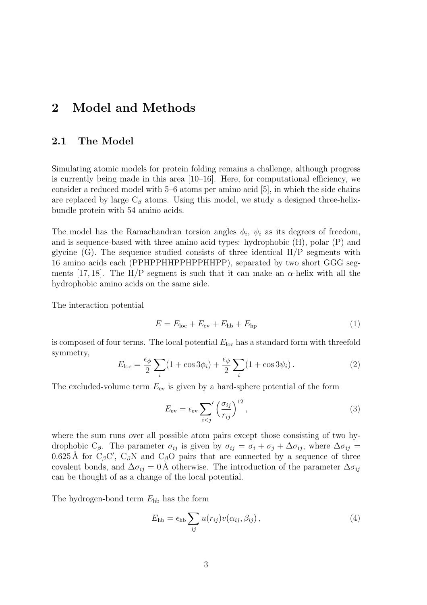# 2 Model and Methods

#### 2.1 The Model

Simulating atomic models for protein folding remains a challenge, although progress is currently being made in this area  $[10-16]$ . Here, for computational efficiency, we consider a reduced model with 5–6 atoms per amino acid [5], in which the side chains are replaced by large  $C_\beta$  atoms. Using this model, we study a designed three-helixbundle protein with 54 amino acids.

The model has the Ramachandran torsion angles  $\phi_i$ ,  $\psi_i$  as its degrees of freedom, and is sequence-based with three amino acid types: hydrophobic (H), polar (P) and glycine  $(G)$ . The sequence studied consists of three identical  $H/P$  segments with 16 amino acids each (PPHPPHHPPHPPHHPP), separated by two short GGG segments [17, 18]. The H/P segment is such that it can make an  $\alpha$ -helix with all the hydrophobic amino acids on the same side.

The interaction potential

$$
E = Eloc + Eev + Ehb + Ehp
$$
 (1)

is composed of four terms. The local potential  $E_{\text{loc}}$  has a standard form with threefold symmetry,  $\overline{\phantom{a}}$  $\overline{\phantom{a}}$ 

$$
E_{\text{loc}} = \frac{\epsilon_{\phi}}{2} \sum_{i} (1 + \cos 3\phi_i) + \frac{\epsilon_{\psi}}{2} \sum_{i} (1 + \cos 3\psi_i). \tag{2}
$$

The excluded-volume term  $E_{\text{ev}}$  is given by a hard-sphere potential of the form

$$
E_{\rm ev} = \epsilon_{\rm ev} \sum_{i < j} \left(\frac{\sigma_{ij}}{r_{ij}}\right)^{12},\tag{3}
$$

where the sum runs over all possible atom pairs except those consisting of two hydrophobic C<sub>β</sub>. The parameter  $\sigma_{ij}$  is given by  $\sigma_{ij} = \sigma_i + \sigma_j + \Delta \sigma_{ij}$ , where  $\Delta \sigma_{ij} =$ 0.625 Å for  $C_{\beta}C'$ ,  $C_{\beta}N$  and  $C_{\beta}O$  pairs that are connected by a sequence of three covalent bonds, and  $\Delta \sigma_{ij} = 0$  Å otherwise. The introduction of the parameter  $\Delta \sigma_{ij}$ can be thought of as a change of the local potential.

The hydrogen-bond term  $E_{hb}$  has the form

$$
E_{\rm hb} = \epsilon_{\rm hb} \sum_{ij} u(r_{ij}) v(\alpha_{ij}, \beta_{ij}), \qquad (4)
$$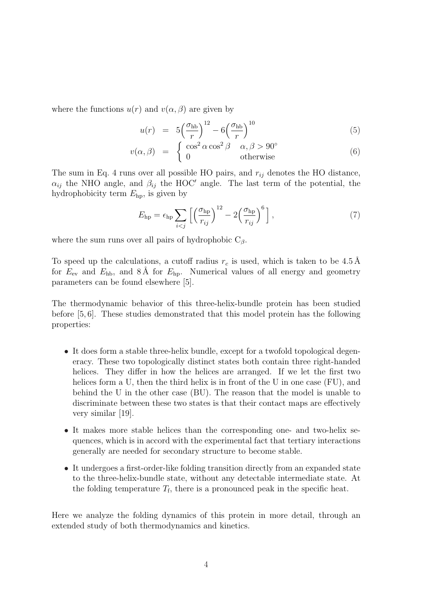where the functions  $u(r)$  and  $v(\alpha, \beta)$  are given by

$$
u(r) = 5\left(\frac{\sigma_{\rm hb}}{r}\right)^{12} - 6\left(\frac{\sigma_{\rm hb}}{r}\right)^{10} \tag{5}
$$

$$
v(\alpha, \beta) = \begin{cases} \cos^2 \alpha \cos^2 \beta & \alpha, \beta > 90^{\circ} \\ 0 & \text{otherwise} \end{cases}
$$
(6)

The sum in Eq. 4 runs over all possible HO pairs, and  $r_{ij}$  denotes the HO distance,  $\alpha_{ij}$  the NHO angle, and  $\beta_{ij}$  the HOC' angle. The last term of the potential, the hydrophobicity term  $E_{\text{hp}}$ , is given by

$$
E_{\rm hp} = \epsilon_{\rm hp} \sum_{i < j} \left[ \left( \frac{\sigma_{\rm hp}}{r_{ij}} \right)^{12} - 2 \left( \frac{\sigma_{\rm hp}}{r_{ij}} \right)^6 \right],\tag{7}
$$

where the sum runs over all pairs of hydrophobic  $C_\beta$ .

To speed up the calculations, a cutoff radius  $r_c$  is used, which is taken to be 4.5 Å for  $E_{\text{ev}}$  and  $E_{\text{hb}}$ , and 8 Å for  $E_{\text{hp}}$ . Numerical values of all energy and geometry parameters can be found elsewhere [5].

The thermodynamic behavior of this three-helix-bundle protein has been studied before [5, 6]. These studies demonstrated that this model protein has the following properties:

- It does form a stable three-helix bundle, except for a twofold topological degeneracy. These two topologically distinct states both contain three right-handed helices. They differ in how the helices are arranged. If we let the first two helices form a U, then the third helix is in front of the U in one case (FU), and behind the U in the other case (BU). The reason that the model is unable to discriminate between these two states is that their contact maps are effectively very similar [19].
- It makes more stable helices than the corresponding one- and two-helix sequences, which is in accord with the experimental fact that tertiary interactions generally are needed for secondary structure to become stable.
- It undergoes a first-order-like folding transition directly from an expanded state to the three-helix-bundle state, without any detectable intermediate state. At the folding temperature  $T_f$ , there is a pronounced peak in the specific heat.

Here we analyze the folding dynamics of this protein in more detail, through an extended study of both thermodynamics and kinetics.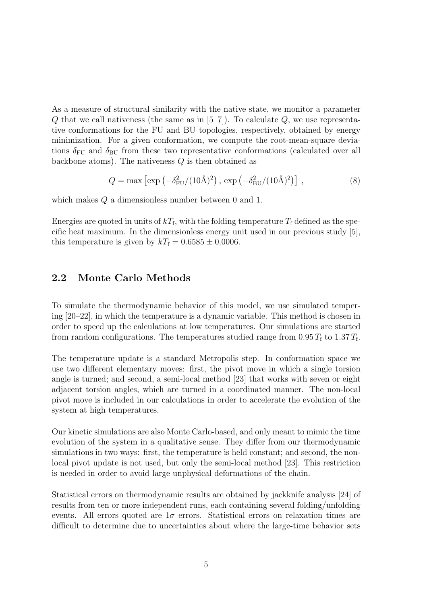As a measure of structural similarity with the native state, we monitor a parameter  $Q$  that we call nativeness (the same as in  $[5-7]$ ). To calculate  $Q$ , we use representative conformations for the FU and BU topologies, respectively, obtained by energy minimization. For a given conformation, we compute the root-mean-square deviations  $\delta_{\text{FU}}$  and  $\delta_{\text{BU}}$  from these two representative conformations (calculated over all backbone atoms). The nativeness  $Q$  is then obtained as

$$
Q = \max \left[ \exp \left( -\delta_{\rm FU}^2 / (10 \text{\AA})^2 \right), \exp \left( -\delta_{\rm BU}^2 / (10 \text{\AA})^2 \right) \right],\tag{8}
$$

which makes Q a dimensionless number between 0 and 1.

Energies are quoted in units of  $kT_f$ , with the folding temperature  $T_f$  defined as the specific heat maximum. In the dimensionless energy unit used in our previous study [5], this temperature is given by  $kT_f = 0.6585 \pm 0.0006$ .

#### 2.2 Monte Carlo Methods

To simulate the thermodynamic behavior of this model, we use simulated tempering [20–22], in which the temperature is a dynamic variable. This method is chosen in order to speed up the calculations at low temperatures. Our simulations are started from random configurations. The temperatures studied range from  $0.95 T_{\rm f}$  to  $1.37 T_{\rm f}$ .

The temperature update is a standard Metropolis step. In conformation space we use two different elementary moves: first, the pivot move in which a single torsion angle is turned; and second, a semi-local method [23] that works with seven or eight adjacent torsion angles, which are turned in a coordinated manner. The non-local pivot move is included in our calculations in order to accelerate the evolution of the system at high temperatures.

Our kinetic simulations are also Monte Carlo-based, and only meant to mimic the time evolution of the system in a qualitative sense. They differ from our thermodynamic simulations in two ways: first, the temperature is held constant; and second, the nonlocal pivot update is not used, but only the semi-local method [23]. This restriction is needed in order to avoid large unphysical deformations of the chain.

Statistical errors on thermodynamic results are obtained by jackknife analysis [24] of results from ten or more independent runs, each containing several folding/unfolding events. All errors quoted are  $1\sigma$  errors. Statistical errors on relaxation times are difficult to determine due to uncertainties about where the large-time behavior sets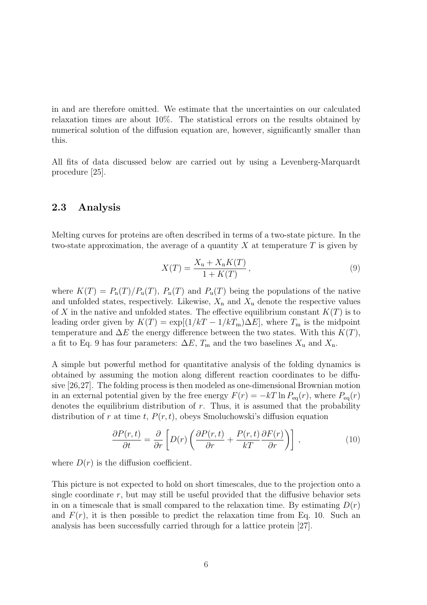in and are therefore omitted. We estimate that the uncertainties on our calculated relaxation times are about 10%. The statistical errors on the results obtained by numerical solution of the diffusion equation are, however, significantly smaller than this.

All fits of data discussed below are carried out by using a Levenberg-Marquardt procedure [25].

#### 2.3 Analysis

Melting curves for proteins are often described in terms of a two-state picture. In the two-state approximation, the average of a quantity  $X$  at temperature  $T$  is given by

$$
X(T) = \frac{X_{\rm u} + X_{\rm n}K(T)}{1 + K(T)},
$$
\n(9)

where  $K(T) = P_n(T)/P_u(T)$ ,  $P_n(T)$  and  $P_u(T)$  being the populations of the native and unfolded states, respectively. Likewise,  $X_n$  and  $X_u$  denote the respective values of X in the native and unfolded states. The effective equilibrium constant  $K(T)$  is to leading order given by  $K(T) = \exp[(1/kT - 1/kT_m)\Delta E]$ , where  $T_m$  is the midpoint temperature and  $\Delta E$  the energy difference between the two states. With this  $K(T)$ , a fit to Eq. 9 has four parameters:  $\Delta E$ ,  $T_m$  and the two baselines  $X_u$  and  $X_n$ .

A simple but powerful method for quantitative analysis of the folding dynamics is obtained by assuming the motion along different reaction coordinates to be diffusive [26,27]. The folding process is then modeled as one-dimensional Brownian motion in an external potential given by the free energy  $F(r) = -kT \ln P_{eq}(r)$ , where  $P_{eq}(r)$ denotes the equilibrium distribution of  $r$ . Thus, it is assumed that the probability distribution of r at time t,  $P(r, t)$ , obeys Smoluchowski's diffusion equation

$$
\frac{\partial P(r,t)}{\partial t} = \frac{\partial}{\partial r} \left[ D(r) \left( \frac{\partial P(r,t)}{\partial r} + \frac{P(r,t)}{kT} \frac{\partial F(r)}{\partial r} \right) \right],
$$
\n(10)

where  $D(r)$  is the diffusion coefficient.

This picture is not expected to hold on short timescales, due to the projection onto a single coordinate  $r$ , but may still be useful provided that the diffusive behavior sets in on a timescale that is small compared to the relaxation time. By estimating  $D(r)$ and  $F(r)$ , it is then possible to predict the relaxation time from Eq. 10. Such an analysis has been successfully carried through for a lattice protein [27].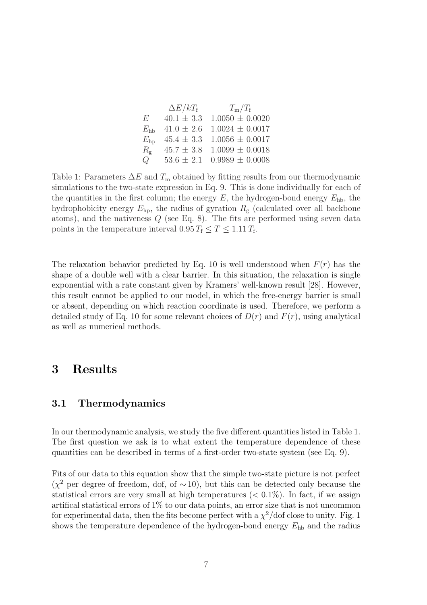|              | $\Delta E/kT_{\rm f}$ | $T_{\rm m}/T_{\rm f}$              |  |  |
|--------------|-----------------------|------------------------------------|--|--|
| E            |                       | $40.1 \pm 3.3$ $1.0050 \pm 0.0020$ |  |  |
| $E_{\rm bb}$ |                       | $41.0 \pm 2.6$ 1.0024 $\pm$ 0.0017 |  |  |
| $E_{\rm ho}$ |                       | $45.4 \pm 3.3$ 1.0056 $\pm$ 0.0017 |  |  |
| $R_{\rm g}$  |                       | $45.7 \pm 3.8$ 1.0099 $\pm$ 0.0018 |  |  |
| Q            |                       | $53.6 \pm 2.1$ 0.9989 $\pm$ 0.0008 |  |  |

Table 1: Parameters  $\Delta E$  and  $T_m$  obtained by fitting results from our thermodynamic simulations to the two-state expression in Eq. 9. This is done individually for each of the quantities in the first column; the energy  $E$ , the hydrogen-bond energy  $E_{\text{hb}}$ , the hydrophobicity energy  $E_{\rm hp}$ , the radius of gyration  $R_{\rm g}$  (calculated over all backbone atoms), and the nativeness Q (see Eq. 8). The fits are performed using seven data points in the temperature interval  $0.95 T_f \leq T \leq 1.11 T_f$ .

The relaxation behavior predicted by Eq. 10 is well understood when  $F(r)$  has the shape of a double well with a clear barrier. In this situation, the relaxation is single exponential with a rate constant given by Kramers' well-known result [28]. However, this result cannot be applied to our model, in which the free-energy barrier is small or absent, depending on which reaction coordinate is used. Therefore, we perform a detailed study of Eq. 10 for some relevant choices of  $D(r)$  and  $F(r)$ , using analytical as well as numerical methods.

# 3 Results

#### 3.1 Thermodynamics

In our thermodynamic analysis, we study the five different quantities listed in Table 1. The first question we ask is to what extent the temperature dependence of these quantities can be described in terms of a first-order two-state system (see Eq. 9).

Fits of our data to this equation show that the simple two-state picture is not perfect  $(\chi^2$  per degree of freedom, dof, of ~10), but this can be detected only because the statistical errors are very small at high temperatures  $( $0.1\%$ ). In fact, if we assign$ artifical statistical errors of 1% to our data points, an error size that is not uncommon for experimental data, then the fits become perfect with a  $\chi^2$ /dof close to unity. Fig. 1 shows the temperature dependence of the hydrogen-bond energy  $E_{hb}$  and the radius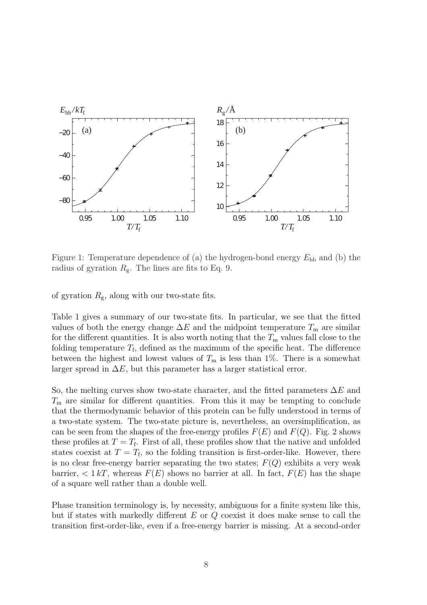

Figure 1: Temperature dependence of (a) the hydrogen-bond energy  $E_{hb}$  and (b) the radius of gyration  $R_g$ . The lines are fits to Eq. 9.

of gyration  $R_{\rm g}$ , along with our two-state fits.

Table 1 gives a summary of our two-state fits. In particular, we see that the fitted values of both the energy change  $\Delta E$  and the midpoint temperature  $T_m$  are similar for the different quantities. It is also worth noting that the  $T<sub>m</sub>$  values fall close to the folding temperature  $T_f$ , defined as the maximum of the specific heat. The difference between the highest and lowest values of  $T_m$  is less than 1%. There is a somewhat larger spread in  $\Delta E$ , but this parameter has a larger statistical error.

So, the melting curves show two-state character, and the fitted parameters  $\Delta E$  and  $T<sub>m</sub>$  are similar for different quantities. From this it may be tempting to conclude that the thermodynamic behavior of this protein can be fully understood in terms of a two-state system. The two-state picture is, nevertheless, an oversimplification, as can be seen from the shapes of the free-energy profiles  $F(E)$  and  $F(Q)$ . Fig. 2 shows these profiles at  $T = T_f$ . First of all, these profiles show that the native and unfolded states coexist at  $T = T_f$ , so the folding transition is first-order-like. However, there is no clear free-energy barrier separating the two states;  $F(Q)$  exhibits a very weak barrier,  $\lt 1 kT$ , whereas  $F(E)$  shows no barrier at all. In fact,  $F(E)$  has the shape of a square well rather than a double well.

Phase transition terminology is, by necessity, ambiguous for a finite system like this, but if states with markedly different  $E$  or  $Q$  coexist it does make sense to call the transition first-order-like, even if a free-energy barrier is missing. At a second-order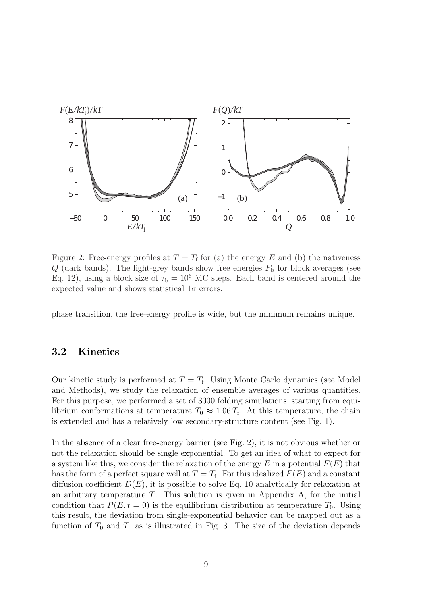

Figure 2: Free-energy profiles at  $T = T_f$  for (a) the energy E and (b) the nativeness  $Q$  (dark bands). The light-grey bands show free energies  $F<sub>b</sub>$  for block averages (see Eq. 12), using a block size of  $\tau_b = 10^6$  MC steps. Each band is centered around the expected value and shows statistical  $1\sigma$  errors.

phase transition, the free-energy profile is wide, but the minimum remains unique.

### 3.2 Kinetics

Our kinetic study is performed at  $T = T_f$ . Using Monte Carlo dynamics (see Model and Methods), we study the relaxation of ensemble averages of various quantities. For this purpose, we performed a set of 3000 folding simulations, starting from equilibrium conformations at temperature  $T_0 \approx 1.06 T_f$ . At this temperature, the chain is extended and has a relatively low secondary-structure content (see Fig. 1).

In the absence of a clear free-energy barrier (see Fig. 2), it is not obvious whether or not the relaxation should be single exponential. To get an idea of what to expect for a system like this, we consider the relaxation of the energy E in a potential  $F(E)$  that has the form of a perfect square well at  $T = T_f$ . For this idealized  $F(E)$  and a constant diffusion coefficient  $D(E)$ , it is possible to solve Eq. 10 analytically for relaxation at an arbitrary temperature  $T$ . This solution is given in Appendix A, for the initial condition that  $P(E, t = 0)$  is the equilibrium distribution at temperature  $T_0$ . Using this result, the deviation from single-exponential behavior can be mapped out as a function of  $T_0$  and  $T$ , as is illustrated in Fig. 3. The size of the deviation depends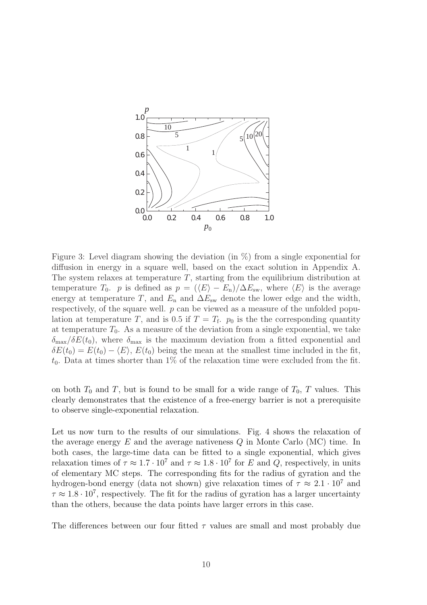

Figure 3: Level diagram showing the deviation (in %) from a single exponential for diffusion in energy in a square well, based on the exact solution in Appendix A. The system relaxes at temperature  $T$ , starting from the equilibrium distribution at temperature  $T_0$ . p is defined as  $p = (\langle E \rangle - E_n)/\Delta E_{sw}$ , where  $\langle E \rangle$  is the average energy at temperature T, and  $E_n$  and  $\Delta E_{sw}$  denote the lower edge and the width, respectively, of the square well.  $p$  can be viewed as a measure of the unfolded population at temperature T, and is 0.5 if  $T = T_f$ .  $p_0$  is the the corresponding quantity at temperature  $T_0$ . As a measure of the deviation from a single exponential, we take  $\delta_{\text{max}}/\delta E(t_0)$ , where  $\delta_{\text{max}}$  is the maximum deviation from a fitted exponential and  $\delta E(t_0) = E(t_0) - \langle E \rangle$ ,  $E(t_0)$  being the mean at the smallest time included in the fit,  $t_0$ . Data at times shorter than 1% of the relaxation time were excluded from the fit.

on both  $T_0$  and T, but is found to be small for a wide range of  $T_0$ , T values. This clearly demonstrates that the existence of a free-energy barrier is not a prerequisite to observe single-exponential relaxation.

Let us now turn to the results of our simulations. Fig. 4 shows the relaxation of the average energy  $E$  and the average nativeness  $Q$  in Monte Carlo (MC) time. In both cases, the large-time data can be fitted to a single exponential, which gives relaxation times of  $\tau \approx 1.7 \cdot 10^7$  and  $\tau \approx 1.8 \cdot 10^7$  for E and Q, respectively, in units of elementary MC steps. The corresponding fits for the radius of gyration and the hydrogen-bond energy (data not shown) give relaxation times of  $\tau \approx 2.1 \cdot 10^7$  and  $\tau \approx 1.8 \cdot 10^7$ , respectively. The fit for the radius of gyration has a larger uncertainty than the others, because the data points have larger errors in this case.

The differences between our four fitted  $\tau$  values are small and most probably due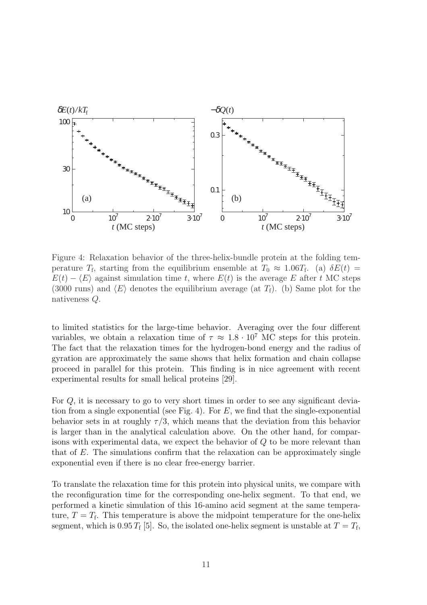

Figure 4: Relaxation behavior of the three-helix-bundle protein at the folding temperature  $T_f$ , starting from the equilibrium ensemble at  $T_0 \approx 1.06T_f$ . (a)  $\delta E(t) =$  $E(t) - \langle E \rangle$  against simulation time t, where  $E(t)$  is the average E after t MC steps (3000 runs) and  $\langle E \rangle$  denotes the equilibrium average (at  $T_f$ ). (b) Same plot for the nativeness Q.

to limited statistics for the large-time behavior. Averaging over the four different variables, we obtain a relaxation time of  $\tau \approx 1.8 \cdot 10^7$  MC steps for this protein. The fact that the relaxation times for the hydrogen-bond energy and the radius of gyration are approximately the same shows that helix formation and chain collapse proceed in parallel for this protein. This finding is in nice agreement with recent experimental results for small helical proteins [29].

For Q, it is necessary to go to very short times in order to see any significant deviation from a single exponential (see Fig. 4). For  $E$ , we find that the single-exponential behavior sets in at roughly  $\tau/3$ , which means that the deviation from this behavior is larger than in the analytical calculation above. On the other hand, for comparisons with experimental data, we expect the behavior of Q to be more relevant than that of  $E$ . The simulations confirm that the relaxation can be approximately single exponential even if there is no clear free-energy barrier.

To translate the relaxation time for this protein into physical units, we compare with the reconfiguration time for the corresponding one-helix segment. To that end, we performed a kinetic simulation of this 16-amino acid segment at the same temperature,  $T = T_f$ . This temperature is above the midpoint temperature for the one-helix segment, which is  $0.95 T_f$  [5]. So, the isolated one-helix segment is unstable at  $T = T_f$ ,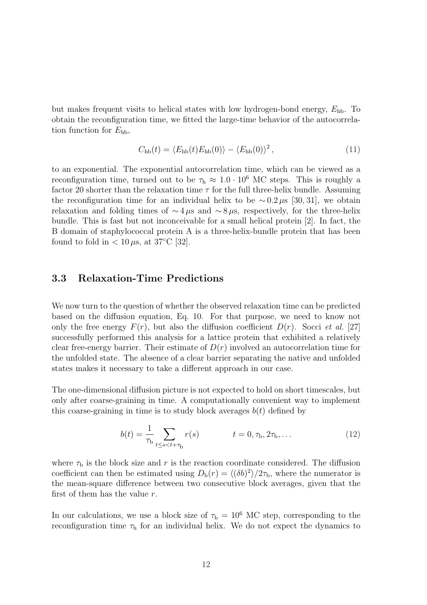but makes frequent visits to helical states with low hydrogen-bond energy,  $E_{\text{hb}}$ . To obtain the reconfiguration time, we fitted the large-time behavior of the autocorrelation function for  $E_{\text{hb}}$ ,

$$
C_{\rm hb}(t) = \langle E_{\rm hb}(t) E_{\rm hb}(0) \rangle - \langle E_{\rm hb}(0) \rangle^2, \qquad (11)
$$

to an exponential. The exponential autocorrelation time, which can be viewed as a reconfiguration time, turned out to be  $\tau_h \approx 1.0 \cdot 10^6$  MC steps. This is roughly a factor 20 shorter than the relaxation time  $\tau$  for the full three-helix bundle. Assuming the reconfiguration time for an individual helix to be  $\sim 0.2 \,\mu s$  [30, 31], we obtain relaxation and folding times of  $\sim$ 4 µs and  $\sim$ 8 µs, respectively, for the three-helix bundle. This is fast but not inconceivable for a small helical protein [2]. In fact, the B domain of staphylococcal protein A is a three-helix-bundle protein that has been found to fold in  $< 10 \,\mu s$ , at 37°C [32].

#### 3.3 Relaxation-Time Predictions

We now turn to the question of whether the observed relaxation time can be predicted based on the diffusion equation, Eq. 10. For that purpose, we need to know not only the free energy  $F(r)$ , but also the diffusion coefficient  $D(r)$ . Socci *et al.* [27] successfully performed this analysis for a lattice protein that exhibited a relatively clear free-energy barrier. Their estimate of  $D(r)$  involved an autocorrelation time for the unfolded state. The absence of a clear barrier separating the native and unfolded states makes it necessary to take a different approach in our case.

The one-dimensional diffusion picture is not expected to hold on short timescales, but only after coarse-graining in time. A computationally convenient way to implement this coarse-graining in time is to study block averages  $b(t)$  defined by

$$
b(t) = \frac{1}{\tau_b} \sum_{t \le s < t + \tau_b} r(s) \qquad t = 0, \tau_b, 2\tau_b, \dots \tag{12}
$$

where  $\tau_{\rm b}$  is the block size and r is the reaction coordinate considered. The diffusion coefficient can then be estimated using  $D_{b}(r) = \langle (\delta b)^{2} \rangle / 2\tau_{b}$ , where the numerator is the mean-square difference between two consecutive block averages, given that the first of them has the value  $r$ .

In our calculations, we use a block size of  $\tau_{\rm b} = 10^6$  MC step, corresponding to the reconfiguration time  $\tau_h$  for an individual helix. We do not expect the dynamics to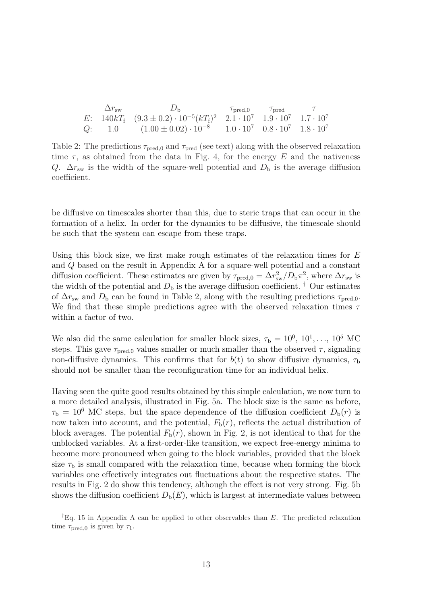| $\Delta r_{\rm sw}$ | $\n  Dh\n$                                                                                             | $\tau_{\text{pred},0}$ $\tau_{\text{pred}}$ |  |
|---------------------|--------------------------------------------------------------------------------------------------------|---------------------------------------------|--|
|                     | E: $140kT_f$ $(9.3 \pm 0.2) \cdot 10^{-5} (kT_f)^2$ $2.1 \cdot 10^7$ $1.9 \cdot 10^7$ $1.7 \cdot 10^7$ |                                             |  |
|                     | Q: 1.0 $(1.00 \pm 0.02) \cdot 10^{-8}$ $1.0 \cdot 10^{7}$ $0.8 \cdot 10^{7}$ $1.8 \cdot 10^{7}$        |                                             |  |

Table 2: The predictions  $\tau_{\text{pred},0}$  and  $\tau_{\text{pred}}$  (see text) along with the observed relaxation time  $\tau$ , as obtained from the data in Fig. 4, for the energy E and the nativeness Q.  $\Delta r_{\rm sw}$  is the width of the square-well potential and  $D_{\rm b}$  is the average diffusion coefficient.

be diffusive on timescales shorter than this, due to steric traps that can occur in the formation of a helix. In order for the dynamics to be diffusive, the timescale should be such that the system can escape from these traps.

Using this block size, we first make rough estimates of the relaxation times for  $E$ and Q based on the result in Appendix A for a square-well potential and a constant diffusion coefficient. These estimates are given by  $\tau_{\text{pred},0} = \Delta r_{\text{sw}}^2/D_b \pi^2$ , where  $\Delta r_{\text{sw}}$  is the width of the potential and  $D<sub>b</sub>$  is the average diffusion coefficient. <sup>†</sup> Our estimates of  $\Delta r_{\rm sw}$  and  $D_{\rm b}$  can be found in Table 2, along with the resulting predictions  $\tau_{\rm pred,0}$ . We find that these simple predictions agree with the observed relaxation times  $\tau$ within a factor of two.

We also did the same calculation for smaller block sizes,  $\tau_{\rm b} = 10^0, 10^1, \ldots, 10^5$  MC steps. This gave  $\tau_{\text{pred},0}$  values smaller or much smaller than the observed  $\tau$ , signaling non-diffusive dynamics. This confirms that for  $b(t)$  to show diffusive dynamics,  $\tau_{\rm b}$ should not be smaller than the reconfiguration time for an individual helix.

Having seen the quite good results obtained by this simple calculation, we now turn to a more detailed analysis, illustrated in Fig. 5a. The block size is the same as before,  $\tau_{\rm b} = 10^6$  MC steps, but the space dependence of the diffusion coefficient  $D_{\rm b}(r)$  is now taken into account, and the potential,  $F<sub>b</sub>(r)$ , reflects the actual distribution of block averages. The potential  $F<sub>b</sub>(r)$ , shown in Fig. 2, is not identical to that for the unblocked variables. At a first-order-like transition, we expect free-energy minima to become more pronounced when going to the block variables, provided that the block size  $\tau_{\rm b}$  is small compared with the relaxation time, because when forming the block variables one effectively integrates out fluctuations about the respective states. The results in Fig. 2 do show this tendency, although the effect is not very strong. Fig. 5b shows the diffusion coefficient  $D_{b}(E)$ , which is largest at intermediate values between

<sup>&</sup>lt;sup>†</sup>Eq. 15 in Appendix A can be applied to other observables than E. The predicted relaxation time  $\tau_{\text{pred},0}$  is given by  $\tau_1$ .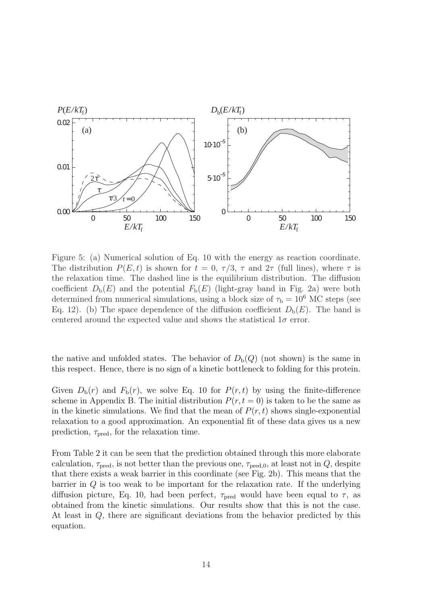

Figure 5: (a) Numerical solution of Eq. 10 with the energy as reaction coordinate. The distribution  $P(E, t)$  is shown for  $t = 0, \tau/3, \tau$  and  $2\tau$  (full lines), where  $\tau$  is the relaxation time. The dashed line is the equilibrium distribution. The diffusion coefficient  $D_{b}(E)$  and the potential  $F_{b}(E)$  (light-gray band in Fig. 2a) were both determined from numerical simulations, using a block size of  $\tau_b = 10^6$  MC steps (see Eq. 12). (b) The space dependence of the diffusion coefficient  $D_{b}(E)$ . The band is centered around the expected value and shows the statistical  $1\sigma$  error.

the native and unfolded states. The behavior of  $D_{b}(Q)$  (not shown) is the same in this respect. Hence, there is no sign of a kinetic bottleneck to folding for this protein.

Given  $D_{\rm b}(r)$  and  $F_{\rm b}(r)$ , we solve Eq. 10 for  $P(r, t)$  by using the finite-difference scheme in Appendix B. The initial distribution  $P(r, t = 0)$  is taken to be the same as in the kinetic simulations. We find that the mean of  $P(r, t)$  shows single-exponential relaxation to a good approximation. An exponential fit of these data gives us a new prediction,  $\tau_{\text{pred}}$ , for the relaxation time.

From Table 2 it can be seen that the prediction obtained through this more elaborate calculation,  $\tau_{pred}$ , is not better than the previous one,  $\tau_{pred,0}$ , at least not in  $Q$ , despite that there exists a weak barrier in this coordinate (see Fig. 2b). This means that the barrier in  $Q$  is too weak to be important for the relaxation rate. If the underlying diffusion picture, Eq. 10, had been perfect,  $\tau_{pred}$  would have been equal to  $\tau$ , as obtained from the kinetic simulations. Our results show that this is not the case. At least in Q, there are significant deviations from the behavior predicted by this equation.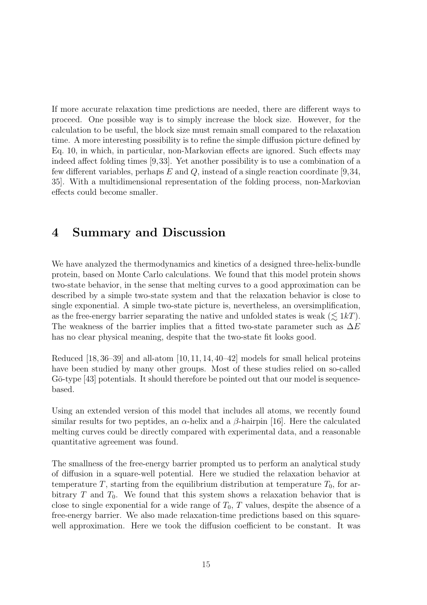If more accurate relaxation time predictions are needed, there are different ways to proceed. One possible way is to simply increase the block size. However, for the calculation to be useful, the block size must remain small compared to the relaxation time. A more interesting possibility is to refine the simple diffusion picture defined by Eq. 10, in which, in particular, non-Markovian effects are ignored. Such effects may indeed affect folding times [9,33]. Yet another possibility is to use a combination of a few different variables, perhaps  $E$  and  $Q$ , instead of a single reaction coordinate [9,34, 35]. With a multidimensional representation of the folding process, non-Markovian effects could become smaller.

### 4 Summary and Discussion

We have analyzed the thermodynamics and kinetics of a designed three-helix-bundle protein, based on Monte Carlo calculations. We found that this model protein shows two-state behavior, in the sense that melting curves to a good approximation can be described by a simple two-state system and that the relaxation behavior is close to single exponential. A simple two-state picture is, nevertheless, an oversimplification, as the free-energy barrier separating the native and unfolded states is weak  $(\leq 1kT)$ . The weakness of the barrier implies that a fitted two-state parameter such as  $\Delta E$ has no clear physical meaning, despite that the two-state fit looks good.

Reduced [18, 36–39] and all-atom [10, 11, 14, 40–42] models for small helical proteins have been studied by many other groups. Most of these studies relied on so-called Gō-type [43] potentials. It should therefore be pointed out that our model is sequencebased.

Using an extended version of this model that includes all atoms, we recently found similar results for two peptides, an  $\alpha$ -helix and a  $\beta$ -hairpin [16]. Here the calculated melting curves could be directly compared with experimental data, and a reasonable quantitative agreement was found.

The smallness of the free-energy barrier prompted us to perform an analytical study of diffusion in a square-well potential. Here we studied the relaxation behavior at temperature T, starting from the equilibrium distribution at temperature  $T_0$ , for arbitrary  $T$  and  $T_0$ . We found that this system shows a relaxation behavior that is close to single exponential for a wide range of  $T_0$ , T values, despite the absence of a free-energy barrier. We also made relaxation-time predictions based on this squarewell approximation. Here we took the diffusion coefficient to be constant. It was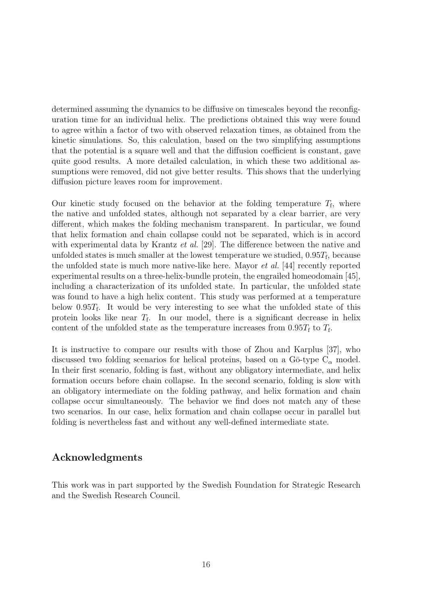determined assuming the dynamics to be diffusive on timescales beyond the reconfiguration time for an individual helix. The predictions obtained this way were found to agree within a factor of two with observed relaxation times, as obtained from the kinetic simulations. So, this calculation, based on the two simplifying assumptions that the potential is a square well and that the diffusion coefficient is constant, gave quite good results. A more detailed calculation, in which these two additional assumptions were removed, did not give better results. This shows that the underlying diffusion picture leaves room for improvement.

Our kinetic study focused on the behavior at the folding temperature  $T_f$ , where the native and unfolded states, although not separated by a clear barrier, are very different, which makes the folding mechanism transparent. In particular, we found that helix formation and chain collapse could not be separated, which is in accord with experimental data by Krantz *et al.* [29]. The difference between the native and unfolded states is much smaller at the lowest temperature we studied,  $0.95T_f$ , because the unfolded state is much more native-like here. Mayor et al. [44] recently reported experimental results on a three-helix-bundle protein, the engrailed homeodomain [45], including a characterization of its unfolded state. In particular, the unfolded state was found to have a high helix content. This study was performed at a temperature below  $0.95T_f$ . It would be very interesting to see what the unfolded state of this protein looks like near  $T_f$ . In our model, there is a significant decrease in helix content of the unfolded state as the temperature increases from  $0.95T_f$  to  $T_f$ .

It is instructive to compare our results with those of Zhou and Karplus [37], who discussed two folding scenarios for helical proteins, based on a  $G\bar{o}$ -type  $C_{\alpha}$  model. In their first scenario, folding is fast, without any obligatory intermediate, and helix formation occurs before chain collapse. In the second scenario, folding is slow with an obligatory intermediate on the folding pathway, and helix formation and chain collapse occur simultaneously. The behavior we find does not match any of these two scenarios. In our case, helix formation and chain collapse occur in parallel but folding is nevertheless fast and without any well-defined intermediate state.

### Acknowledgments

This work was in part supported by the Swedish Foundation for Strategic Research and the Swedish Research Council.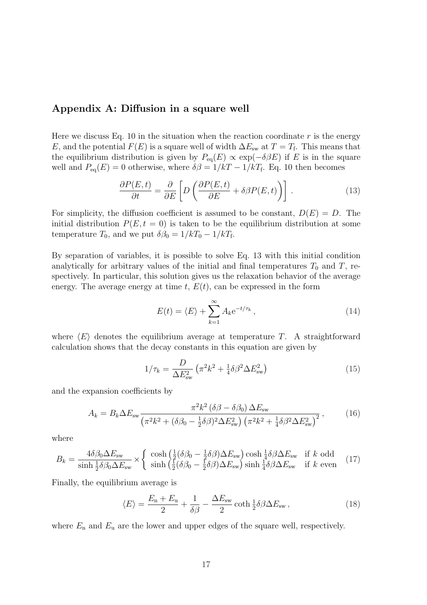#### Appendix A: Diffusion in a square well

Here we discuss Eq. 10 in the situation when the reaction coordinate  $r$  is the energy E, and the potential  $F(E)$  is a square well of width  $\Delta E_{\rm sw}$  at  $T = T_{\rm f}$ . This means that the equilibrium distribution is given by  $P_{eq}(E) \propto \exp(-\delta \beta E)$  if E is in the square well and  $P_{eq}(E) = 0$  otherwise, where  $\delta \beta = 1/kT - 1/kT_f$ . Eq. 10 then becomes

$$
\frac{\partial P(E,t)}{\partial t} = \frac{\partial}{\partial E} \left[ D \left( \frac{\partial P(E,t)}{\partial E} + \delta \beta P(E,t) \right) \right]. \tag{13}
$$

For simplicity, the diffusion coefficient is assumed to be constant,  $D(E) = D$ . The initial distribution  $P(E, t = 0)$  is taken to be the equilibrium distribution at some temperature  $T_0$ , and we put  $\delta \beta_0 = 1/kT_0 - 1/kT_f$ .

By separation of variables, it is possible to solve Eq. 13 with this initial condition analytically for arbitrary values of the initial and final temperatures  $T_0$  and T, respectively. In particular, this solution gives us the relaxation behavior of the average energy. The average energy at time t,  $E(t)$ , can be expressed in the form

$$
E(t) = \langle E \rangle + \sum_{k=1}^{\infty} A_k e^{-t/\tau_k}, \qquad (14)
$$

where  $\langle E \rangle$  denotes the equilibrium average at temperature T. A straightforward calculation shows that the decay constants in this equation are given by

$$
1/\tau_k = \frac{D}{\Delta E_{\rm sw}^2} \left( \pi^2 k^2 + \frac{1}{4} \delta \beta^2 \Delta E_{\rm sw}^2 \right)
$$
 (15)

and the expansion coefficients by

$$
A_k = B_k \Delta E_{\rm sw} \frac{\pi^2 k^2 \left(\delta \beta - \delta \beta_0\right) \Delta E_{\rm sw}}{\left(\pi^2 k^2 + \left(\delta \beta_0 - \frac{1}{2} \delta \beta\right)^2 \Delta E_{\rm sw}^2\right) \left(\pi^2 k^2 + \frac{1}{4} \delta \beta^2 \Delta E_{\rm sw}^2\right)^2},\tag{16}
$$

where

$$
B_k = \frac{4\delta\beta_0 \Delta E_{\rm sw}}{\sinh\frac{1}{2}\delta\beta_0 \Delta E_{\rm sw}} \times \begin{cases} \cosh\left(\frac{1}{2}(\delta\beta_0 - \frac{1}{2}\delta\beta)\Delta E_{\rm sw}\right) \cosh\frac{1}{4}\delta\beta\Delta E_{\rm sw} & \text{if } k \text{ odd} \\ \sinh\left(\frac{1}{2}(\delta\beta_0 - \frac{1}{2}\delta\beta)\Delta E_{\rm sw}\right) \sinh\frac{1}{4}\delta\beta\Delta E_{\rm sw} & \text{if } k \text{ even} \end{cases} \tag{17}
$$

Finally, the equilibrium average is

$$
\langle E \rangle = \frac{E_{\rm n} + E_{\rm u}}{2} + \frac{1}{\delta \beta} - \frac{\Delta E_{\rm sw}}{2} \coth \frac{1}{2} \delta \beta \Delta E_{\rm sw} \,, \tag{18}
$$

where  $E_n$  and  $E_u$  are the lower and upper edges of the square well, respectively.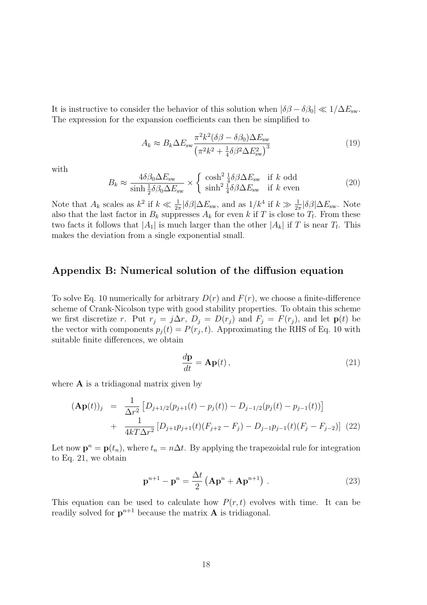It is instructive to consider the behavior of this solution when  $|\delta\beta - \delta\beta_0| \ll 1/\Delta E_{\rm sw}$ . The expression for the expansion coefficients can then be simplified to

$$
A_k \approx B_k \Delta E_{\rm sw} \frac{\pi^2 k^2 (\delta \beta - \delta \beta_0) \Delta E_{\rm sw}}{\left(\pi^2 k^2 + \frac{1}{4} \delta \beta^2 \Delta E_{\rm sw}^2\right)^3}
$$
(19)

with

$$
B_k \approx \frac{4\delta\beta_0 \Delta E_{\rm sw}}{\sinh\frac{1}{2}\delta\beta_0 \Delta E_{\rm sw}} \times \begin{cases} \cosh^2\frac{1}{4}\delta\beta \Delta E_{\rm sw} & \text{if } k \text{ odd} \\ \sinh^2\frac{1}{4}\delta\beta \Delta E_{\rm sw} & \text{if } k \text{ even} \end{cases}
$$
(20)

Note that  $A_k$  scales as  $k^2$  if  $k \ll \frac{1}{2\pi} |\delta \beta| \Delta E_{\rm sw}$ , and as  $1/k^4$  if  $k \gg \frac{1}{2\pi} |\delta \beta| \Delta E_{\rm sw}$ . Note also that the last factor in  $B_k$  suppresses  $A_k$  for even k if T is close to  $T_f$ . From these two facts it follows that  $|A_1|$  is much larger than the other  $|A_k|$  if T is near  $T_f$ . This makes the deviation from a single exponential small.

### Appendix B: Numerical solution of the diffusion equation

To solve Eq. 10 numerically for arbitrary  $D(r)$  and  $F(r)$ , we choose a finite-difference scheme of Crank-Nicolson type with good stability properties. To obtain this scheme we first discretize r. Put  $r_j = j\Delta r$ ,  $D_j = D(r_j)$  and  $F_j = F(r_j)$ , and let  $p(t)$  be the vector with components  $p_j(t) = P(r_j, t)$ . Approximating the RHS of Eq. 10 with suitable finite differences, we obtain

$$
\frac{d\mathbf{p}}{dt} = \mathbf{A}\mathbf{p}(t),\tag{21}
$$

where  $\bf{A}$  is a tridiagonal matrix given by

$$
(\mathbf{Ap}(t))_j = \frac{1}{\Delta r^2} \left[ D_{j+1/2}(p_{j+1}(t) - p_j(t)) - D_{j-1/2}(p_j(t) - p_{j-1}(t)) \right] + \frac{1}{4kT\Delta r^2} \left[ D_{j+1}p_{j+1}(t)(F_{j+2} - F_j) - D_{j-1}p_{j-1}(t)(F_j - F_{j-2}) \right] (22)
$$

Let now  $\mathbf{p}^n = \mathbf{p}(t_n)$ , where  $t_n = n\Delta t$ . By applying the trapezoidal rule for integration to Eq. 21, we obtain

$$
\mathbf{p}^{n+1} - \mathbf{p}^n = \frac{\Delta t}{2} \left( \mathbf{A} \mathbf{p}^n + \mathbf{A} \mathbf{p}^{n+1} \right) . \tag{23}
$$

This equation can be used to calculate how  $P(r, t)$  evolves with time. It can be readily solved for  $p^{n+1}$  because the matrix **A** is tridiagonal.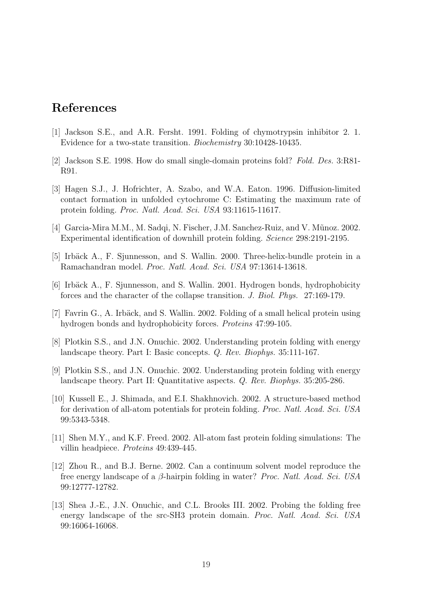# References

- [1] Jackson S.E., and A.R. Fersht. 1991. Folding of chymotrypsin inhibitor 2. 1. Evidence for a two-state transition. Biochemistry 30:10428-10435.
- [2] Jackson S.E. 1998. How do small single-domain proteins fold? Fold. Des. 3:R81- R91.
- [3] Hagen S.J., J. Hofrichter, A. Szabo, and W.A. Eaton. 1996. Diffusion-limited contact formation in unfolded cytochrome C: Estimating the maximum rate of protein folding. Proc. Natl. Acad. Sci. USA 93:11615-11617.
- [4] Garcia-Mira M.M., M. Sadqi, N. Fischer, J.M. Sanchez-Ruiz, and V. Mũnoz. 2002. Experimental identification of downhill protein folding. Science 298:2191-2195.
- [5] Irbäck A., F. Sjunnesson, and S. Wallin. 2000. Three-helix-bundle protein in a Ramachandran model. Proc. Natl. Acad. Sci. USA 97:13614-13618.
- [6] Irb¨ack A., F. Sjunnesson, and S. Wallin. 2001. Hydrogen bonds, hydrophobicity forces and the character of the collapse transition. J. Biol. Phys. 27:169-179.
- [7] Favrin G., A. Irbäck, and S. Wallin. 2002. Folding of a small helical protein using hydrogen bonds and hydrophobicity forces. Proteins 47:99-105.
- [8] Plotkin S.S., and J.N. Onuchic. 2002. Understanding protein folding with energy landscape theory. Part I: Basic concepts. Q. Rev. Biophys. 35:111-167.
- [9] Plotkin S.S., and J.N. Onuchic. 2002. Understanding protein folding with energy landscape theory. Part II: Quantitative aspects. Q. Rev. Biophys. 35:205-286.
- [10] Kussell E., J. Shimada, and E.I. Shakhnovich. 2002. A structure-based method for derivation of all-atom potentials for protein folding. Proc. Natl. Acad. Sci. USA 99:5343-5348.
- [11] Shen M.Y., and K.F. Freed. 2002. All-atom fast protein folding simulations: The villin headpiece. Proteins 49:439-445.
- [12] Zhou R., and B.J. Berne. 2002. Can a continuum solvent model reproduce the free energy landscape of a β-hairpin folding in water? Proc. Natl. Acad. Sci. USA 99:12777-12782.
- [13] Shea J.-E., J.N. Onuchic, and C.L. Brooks III. 2002. Probing the folding free energy landscape of the src-SH3 protein domain. Proc. Natl. Acad. Sci. USA 99:16064-16068.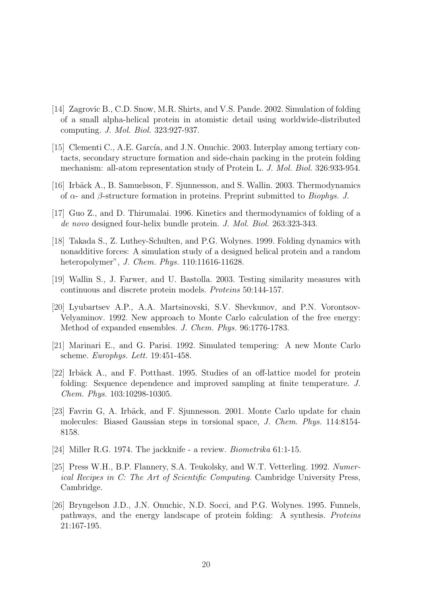- [14] Zagrovic B., C.D. Snow, M.R. Shirts, and V.S. Pande. 2002. Simulation of folding of a small alpha-helical protein in atomistic detail using worldwide-distributed computing. J. Mol. Biol. 323:927-937.
- [15] Clementi C., A.E. García, and J.N. Onuchic. 2003. Interplay among tertiary contacts, secondary structure formation and side-chain packing in the protein folding mechanism: all-atom representation study of Protein L. J. Mol. Biol. 326:933-954.
- [16] Irbäck A., B. Samuelsson, F. Sjunnesson, and S. Wallin. 2003. Thermodynamics of α- and β-structure formation in proteins. Preprint submitted to Biophys. J.
- [17] Guo Z., and D. Thirumalai. 1996. Kinetics and thermodynamics of folding of a de novo designed four-helix bundle protein. J. Mol. Biol. 263:323-343.
- [18] Takada S., Z. Luthey-Schulten, and P.G. Wolynes. 1999. Folding dynamics with nonadditive forces: A simulation study of a designed helical protein and a random heteropolymer", J. Chem. Phys. 110:11616-11628.
- [19] Wallin S., J. Farwer, and U. Bastolla. 2003. Testing similarity measures with continuous and discrete protein models. Proteins 50:144-157.
- [20] Lyubartsev A.P., A.A. Martsinovski, S.V. Shevkunov, and P.N. Vorontsov-Velyaminov. 1992. New approach to Monte Carlo calculation of the free energy: Method of expanded ensembles. J. Chem. Phys. 96:1776-1783.
- [21] Marinari E., and G. Parisi. 1992. Simulated tempering: A new Monte Carlo scheme. Europhys. Lett. 19:451-458.
- [22] Irbäck A., and F. Potthast. 1995. Studies of an off-lattice model for protein folding: Sequence dependence and improved sampling at finite temperature. J. Chem. Phys. 103:10298-10305.
- [23] Favrin G, A. Irbäck, and F. Sjunnesson. 2001. Monte Carlo update for chain molecules: Biased Gaussian steps in torsional space, J. Chem. Phys. 114:8154- 8158.
- [24] Miller R.G. 1974. The jackknife a review. *Biometrika* 61:1-15.
- [25] Press W.H., B.P. Flannery, S.A. Teukolsky, and W.T. Vetterling. 1992. Numerical Recipes in C: The Art of Scientific Computing. Cambridge University Press, Cambridge.
- [26] Bryngelson J.D., J.N. Onuchic, N.D. Socci, and P.G. Wolynes. 1995. Funnels, pathways, and the energy landscape of protein folding: A synthesis. Proteins 21:167-195.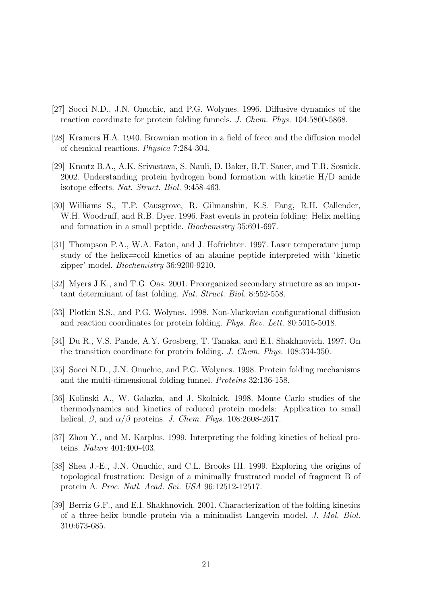- [27] Socci N.D., J.N. Onuchic, and P.G. Wolynes. 1996. Diffusive dynamics of the reaction coordinate for protein folding funnels. J. Chem. Phys. 104:5860-5868.
- [28] Kramers H.A. 1940. Brownian motion in a field of force and the diffusion model of chemical reactions. Physica 7:284-304.
- [29] Krantz B.A., A.K. Srivastava, S. Nauli, D. Baker, R.T. Sauer, and T.R. Sosnick. 2002. Understanding protein hydrogen bond formation with kinetic H/D amide isotope effects. Nat. Struct. Biol. 9:458-463.
- [30] Williams S., T.P. Causgrove, R. Gilmanshin, K.S. Fang, R.H. Callender, W.H. Woodruff, and R.B. Dyer. 1996. Fast events in protein folding: Helix melting and formation in a small peptide. Biochemistry 35:691-697.
- [31] Thompson P.A., W.A. Eaton, and J. Hofrichter. 1997. Laser temperature jump study of the helix $\rightleftharpoons$ coil kinetics of an alanine peptide interpreted with 'kinetic zipper' model. Biochemistry 36:9200-9210.
- [32] Myers J.K., and T.G. Oas. 2001. Preorganized secondary structure as an important determinant of fast folding. Nat. Struct. Biol. 8:552-558.
- [33] Plotkin S.S., and P.G. Wolynes. 1998. Non-Markovian configurational diffusion and reaction coordinates for protein folding. Phys. Rev. Lett. 80:5015-5018.
- [34] Du R., V.S. Pande, A.Y. Grosberg, T. Tanaka, and E.I. Shakhnovich. 1997. On the transition coordinate for protein folding. J. Chem. Phys. 108:334-350.
- [35] Socci N.D., J.N. Onuchic, and P.G. Wolynes. 1998. Protein folding mechanisms and the multi-dimensional folding funnel. Proteins 32:136-158.
- [36] Kolinski A., W. Galazka, and J. Skolnick. 1998. Monte Carlo studies of the thermodynamics and kinetics of reduced protein models: Application to small helical,  $\beta$ , and  $\alpha/\beta$  proteins. J. Chem. Phys. 108:2608-2617.
- [37] Zhou Y., and M. Karplus. 1999. Interpreting the folding kinetics of helical proteins. Nature 401:400-403.
- [38] Shea J.-E., J.N. Onuchic, and C.L. Brooks III. 1999. Exploring the origins of topological frustration: Design of a minimally frustrated model of fragment B of protein A. Proc. Natl. Acad. Sci. USA 96:12512-12517.
- [39] Berriz G.F., and E.I. Shakhnovich. 2001. Characterization of the folding kinetics of a three-helix bundle protein via a minimalist Langevin model. J. Mol. Biol. 310:673-685.